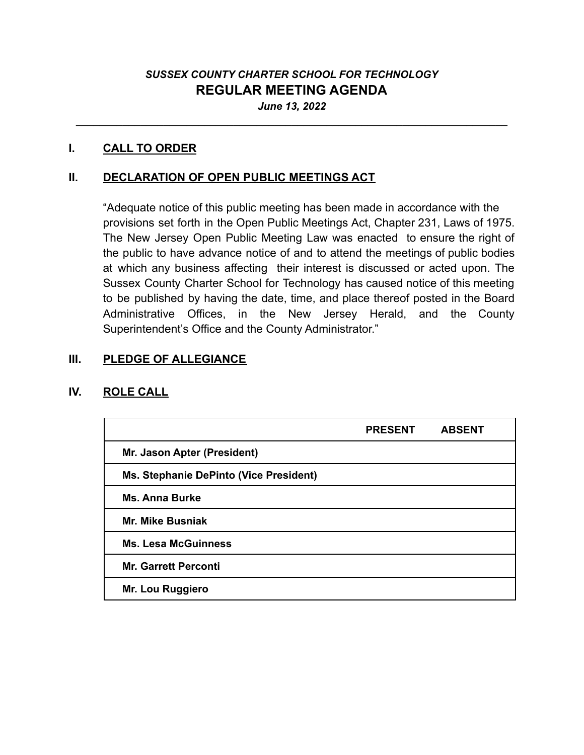# *SUSSEX COUNTY CHARTER SCHOOL FOR TECHNOLOGY* **REGULAR MEETING AGENDA** *June 13, 2022*

\_\_\_\_\_\_\_\_\_\_\_\_\_\_\_\_\_\_\_\_\_\_\_\_\_\_\_\_\_\_\_\_\_\_\_\_\_\_\_\_\_\_\_\_\_\_\_\_\_\_\_\_\_\_\_\_\_\_\_\_\_\_\_\_\_\_\_\_\_\_\_\_\_\_

#### **I. CALL TO ORDER**

# **II. DECLARATION OF OPEN PUBLIC MEETINGS ACT**

"Adequate notice of this public meeting has been made in accordance with the provisions set forth in the Open Public Meetings Act, Chapter 231, Laws of 1975. The New Jersey Open Public Meeting Law was enacted to ensure the right of the public to have advance notice of and to attend the meetings of public bodies at which any business affecting their interest is discussed or acted upon. The Sussex County Charter School for Technology has caused notice of this meeting to be published by having the date, time, and place thereof posted in the Board Administrative Offices, in the New Jersey Herald, and the County Superintendent's Office and the County Administrator."

### **III. PLEDGE OF ALLEGIANCE**

### **IV. ROLE CALL**

|                                        | <b>PRESENT</b> | <b>ABSENT</b> |
|----------------------------------------|----------------|---------------|
| Mr. Jason Apter (President)            |                |               |
| Ms. Stephanie DePinto (Vice President) |                |               |
| <b>Ms. Anna Burke</b>                  |                |               |
| <b>Mr. Mike Busniak</b>                |                |               |
| <b>Ms. Lesa McGuinness</b>             |                |               |
| <b>Mr. Garrett Perconti</b>            |                |               |
| Mr. Lou Ruggiero                       |                |               |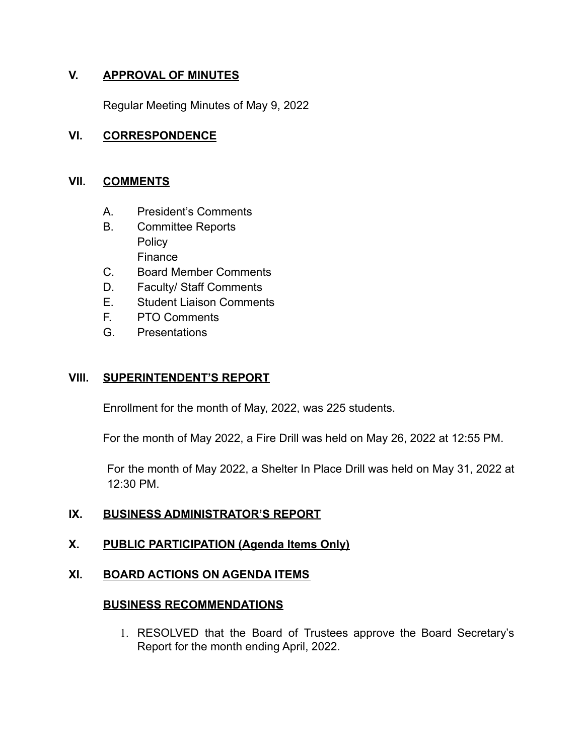# **V. APPROVAL OF MINUTES**

Regular Meeting Minutes of May 9, 2022

# **VI. CORRESPONDENCE**

#### **VII. COMMENTS**

- A. President's Comments
- B. Committee Reports **Policy** Finance
- C. Board Member Comments
- D. Faculty/ Staff Comments
- E. Student Liaison Comments
- F. PTO Comments
- G. Presentations

# **VIII. SUPERINTENDENT'S REPORT**

Enrollment for the month of May, 2022, was 225 students.

For the month of May 2022, a Fire Drill was held on May 26, 2022 at 12:55 PM.

For the month of May 2022, a Shelter In Place Drill was held on May 31, 2022 at 12:30 PM.

# **IX. BUSINESS ADMINISTRATOR'S REPORT**

# **X. PUBLIC PARTICIPATION (Agenda Items Only)**

### **XI. BOARD ACTIONS ON AGENDA ITEMS**

### **BUSINESS RECOMMENDATIONS**

1. RESOLVED that the Board of Trustees approve the Board Secretary's Report for the month ending April, 2022.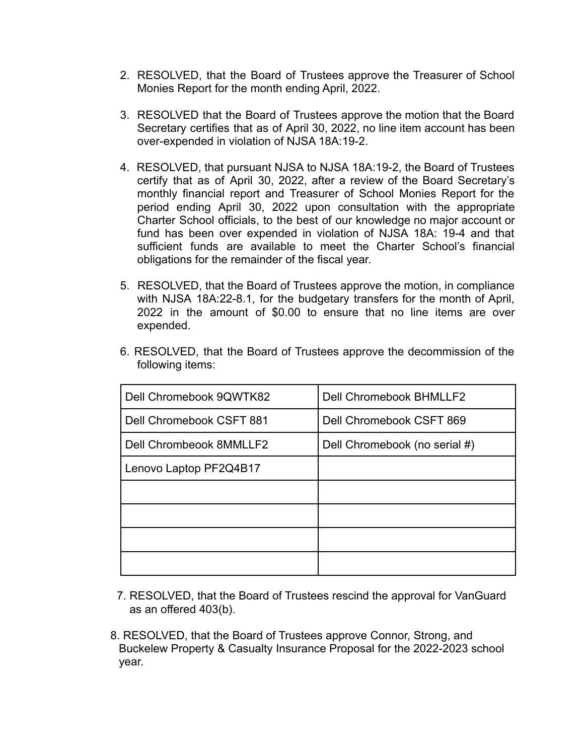- 2. RESOLVED, that the Board of Trustees approve the Treasurer of School Monies Report for the month ending April, 2022.
- 3. RESOLVED that the Board of Trustees approve the motion that the Board Secretary certifies that as of April 30, 2022, no line item account has been over-expended in violation of NJSA 18A:19-2.
- 4. RESOLVED, that pursuant NJSA to NJSA 18A:19-2, the Board of Trustees certify that as of April 30, 2022, after a review of the Board Secretary's monthly financial report and Treasurer of School Monies Report for the period ending April 30, 2022 upon consultation with the appropriate Charter School officials, to the best of our knowledge no major account or fund has been over expended in violation of NJSA 18A: 19-4 and that sufficient funds are available to meet the Charter School's financial obligations for the remainder of the fiscal year.
- 5. RESOLVED, that the Board of Trustees approve the motion, in compliance with NJSA 18A:22-8.1, for the budgetary transfers for the month of April, 2022 in the amount of \$0.00 to ensure that no line items are over expended.

| Dell Chromebook 9QWTK82  | <b>Dell Chromebook BHMLLF2</b> |
|--------------------------|--------------------------------|
| Dell Chromebook CSFT 881 | Dell Chromebook CSFT 869       |
| Dell Chrombeook 8MMLLF2  | Dell Chromebook (no serial #)  |
| Lenovo Laptop PF2Q4B17   |                                |
|                          |                                |
|                          |                                |
|                          |                                |
|                          |                                |

6. RESOLVED, that the Board of Trustees approve the decommission of the following items:

- 7. RESOLVED, that the Board of Trustees rescind the approval for VanGuard as an offered 403(b).
- 8. RESOLVED, that the Board of Trustees approve Connor, Strong, and Buckelew Property & Casualty Insurance Proposal for the 2022-2023 school year.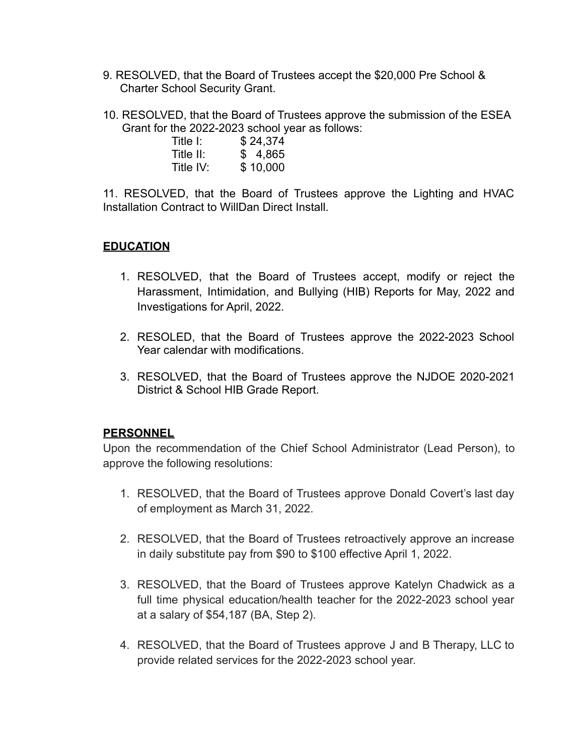- 9. RESOLVED, that the Board of Trustees accept the \$20,000 Pre School & Charter School Security Grant.
- 10. RESOLVED, that the Board of Trustees approve the submission of the ESEA Grant for the 2022-2023 school year as follows:

| Title I:  | \$24,374 |
|-----------|----------|
| Title II: | \$4,865  |
| Title IV: | \$10,000 |

11. RESOLVED, that the Board of Trustees approve the Lighting and HVAC Installation Contract to WillDan Direct Install.

# **EDUCATION**

- 1. RESOLVED, that the Board of Trustees accept, modify or reject the Harassment, Intimidation, and Bullying (HIB) Reports for May, 2022 and Investigations for April, 2022.
- 2. RESOLED, that the Board of Trustees approve the 2022-2023 School Year calendar with modifications.
- 3. RESOLVED, that the Board of Trustees approve the NJDOE 2020-2021 District & School HIB Grade Report.

### **PERSONNEL**

Upon the recommendation of the Chief School Administrator (Lead Person), to approve the following resolutions:

- 1. RESOLVED, that the Board of Trustees approve Donald Covert's last day of employment as March 31, 2022.
- 2. RESOLVED, that the Board of Trustees retroactively approve an increase in daily substitute pay from \$90 to \$100 effective April 1, 2022.
- 3. RESOLVED, that the Board of Trustees approve Katelyn Chadwick as a full time physical education/health teacher for the 2022-2023 school year at a salary of \$54,187 (BA, Step 2).
- 4. RESOLVED, that the Board of Trustees approve J and B Therapy, LLC to provide related services for the 2022-2023 school year.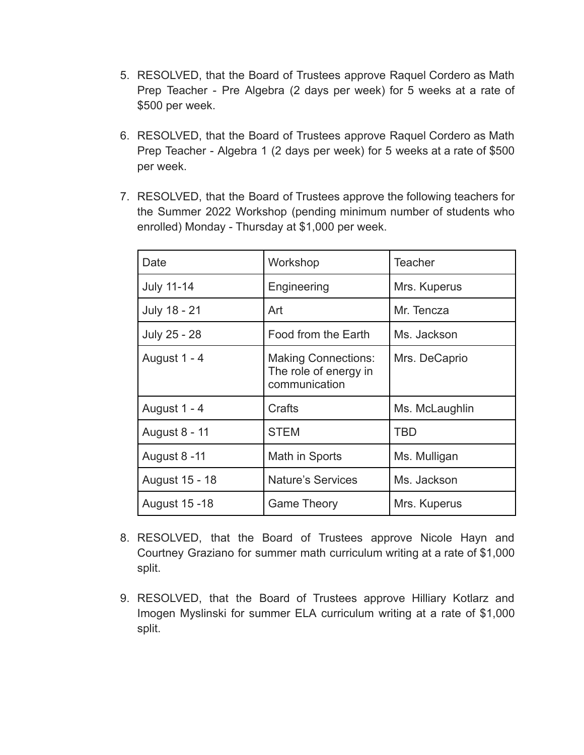- 5. RESOLVED, that the Board of Trustees approve Raquel Cordero as Math Prep Teacher - Pre Algebra (2 days per week) for 5 weeks at a rate of \$500 per week.
- 6. RESOLVED, that the Board of Trustees approve Raquel Cordero as Math Prep Teacher - Algebra 1 (2 days per week) for 5 weeks at a rate of \$500 per week.
- 7. RESOLVED, that the Board of Trustees approve the following teachers for the Summer 2022 Workshop (pending minimum number of students who enrolled) Monday - Thursday at \$1,000 per week.

| Date              | Workshop                                                             | <b>Teacher</b> |
|-------------------|----------------------------------------------------------------------|----------------|
| <b>July 11-14</b> | Engineering                                                          | Mrs. Kuperus   |
| July 18 - 21      | Art                                                                  | Mr. Tencza     |
| July 25 - 28      | Food from the Earth                                                  | Ms. Jackson    |
| August 1 - 4      | <b>Making Connections:</b><br>The role of energy in<br>communication | Mrs. DeCaprio  |
| August 1 - 4      | Crafts                                                               | Ms. McLaughlin |
| August 8 - 11     | <b>STEM</b>                                                          | TBD            |
| August 8 -11      | Math in Sports                                                       | Ms. Mulligan   |
| August 15 - 18    | <b>Nature's Services</b>                                             | Ms. Jackson    |
| August 15 - 18    | <b>Game Theory</b>                                                   | Mrs. Kuperus   |

- 8. RESOLVED, that the Board of Trustees approve Nicole Hayn and Courtney Graziano for summer math curriculum writing at a rate of \$1,000 split.
- 9. RESOLVED, that the Board of Trustees approve Hilliary Kotlarz and Imogen Myslinski for summer ELA curriculum writing at a rate of \$1,000 split.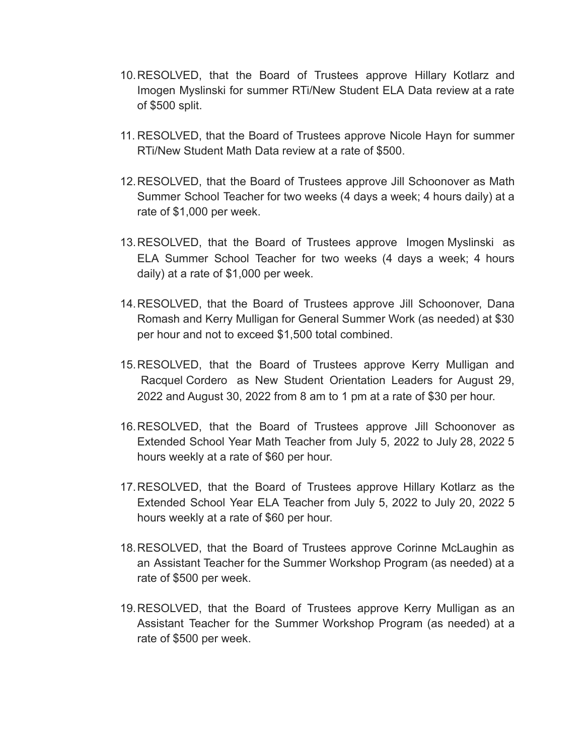- 10.RESOLVED, that the Board of Trustees approve Hillary Kotlarz and Imogen Myslinski for summer RTi/New Student ELA Data review at a rate of \$500 split.
- 11. RESOLVED, that the Board of Trustees approve Nicole Hayn for summer RTi/New Student Math Data review at a rate of \$500.
- 12.RESOLVED, that the Board of Trustees approve Jill Schoonover as Math Summer School Teacher for two weeks (4 days a week; 4 hours daily) at a rate of \$1,000 per week.
- 13.RESOLVED, that the Board of Trustees approve [Imogen Myslinski](mailto:imyslinski@sussexcharter.org) as ELA Summer School Teacher for two weeks (4 days a week; 4 hours daily) at a rate of \$1,000 per week.
- 14.RESOLVED, that the Board of Trustees approve Jill Schoonover, Dana Romash and Kerry Mulligan for General Summer Work (as needed) at \$30 per hour and not to exceed \$1,500 total combined.
- 15.RESOLVED, that the Board of Trustees approve Kerry Mulligan and [Racquel Cordero](mailto:rcordero@sussexcharter.org) as New Student Orientation Leaders for August 29, 2022 and August 30, 2022 from 8 am to 1 pm at a rate of \$30 per hour.
- 16.RESOLVED, that the Board of Trustees approve Jill Schoonover as Extended School Year Math Teacher from July 5, 2022 to July 28, 2022 5 hours weekly at a rate of \$60 per hour.
- 17.RESOLVED, that the Board of Trustees approve Hillary Kotlarz as the Extended School Year ELA Teacher from July 5, 2022 to July 20, 2022 5 hours weekly at a rate of \$60 per hour.
- 18.RESOLVED, that the Board of Trustees approve Corinne McLaughin as an Assistant Teacher for the Summer Workshop Program (as needed) at a rate of \$500 per week.
- 19.RESOLVED, that the Board of Trustees approve Kerry Mulligan as an Assistant Teacher for the Summer Workshop Program (as needed) at a rate of \$500 per week.